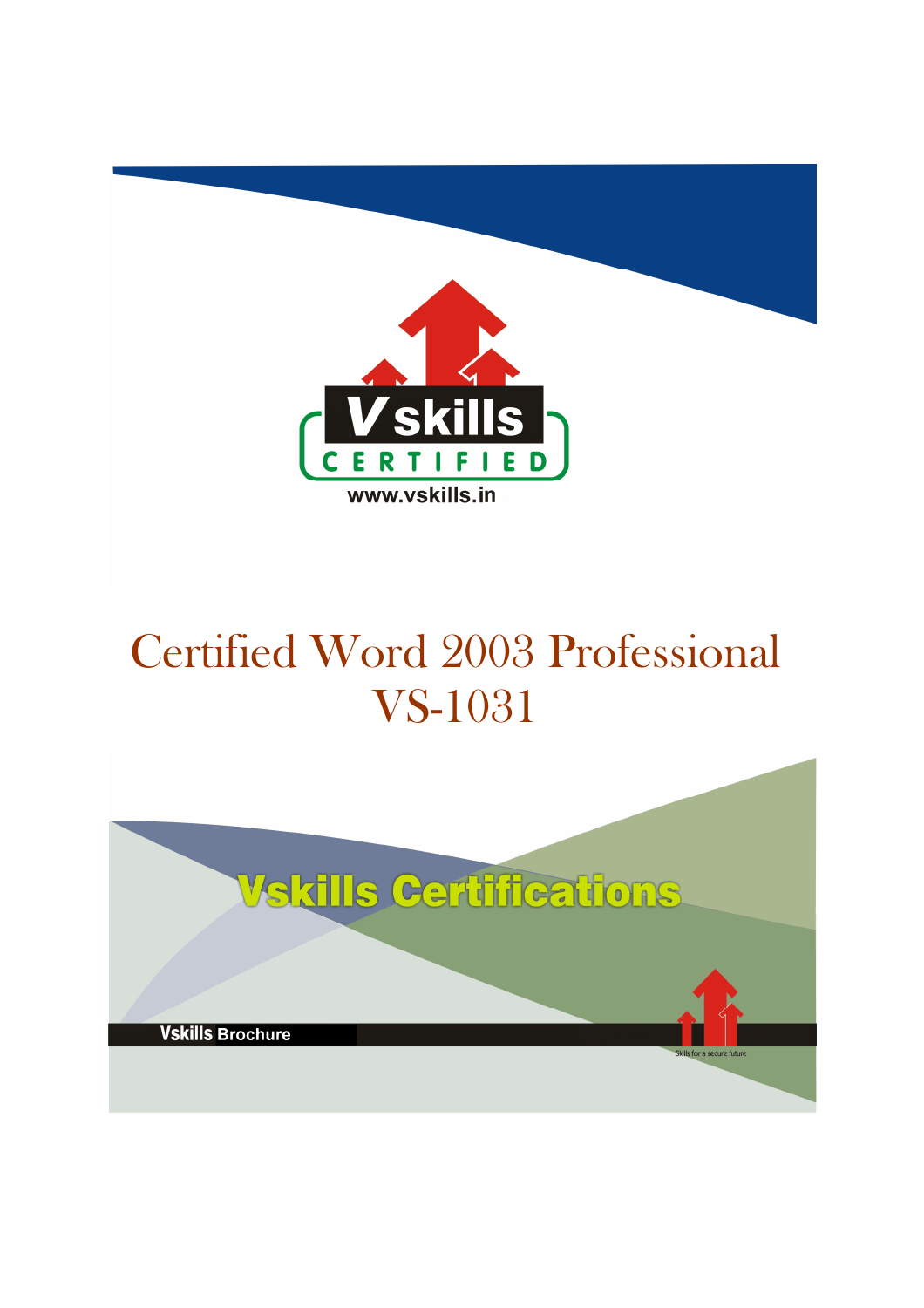

# Certified Word 2003 Professional VS-1031

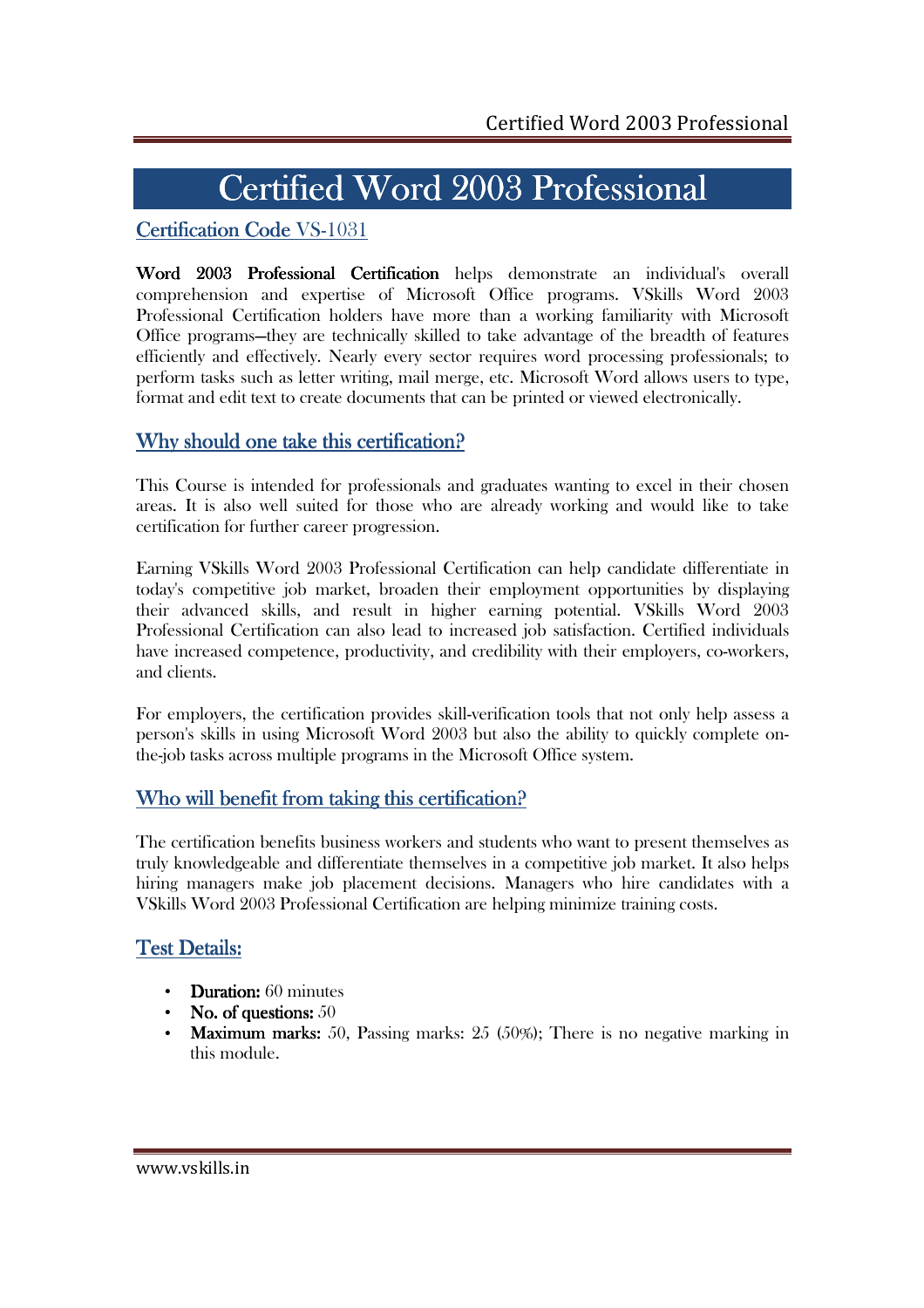# Certified Word 2003 Professional

## Certification Code VS-1031

Word 2003 Professional Certification helps demonstrate an individual's overall comprehension and expertise of Microsoft Office programs. VSkills Word 2003 Professional Certification holders have more than a working familiarity with Microsoft Office programs—they are technically skilled to take advantage of the breadth of features efficiently and effectively. Nearly every sector requires word processing professionals; to perform tasks such as letter writing, mail merge, etc. Microsoft Word allows users to type, format and edit text to create documents that can be printed or viewed electronically.

#### Why should one take this certification?

This Course is intended for professionals and graduates wanting to excel in their chosen areas. It is also well suited for those who are already working and would like to take certification for further career progression.

Earning VSkills Word 2003 Professional Certification can help candidate differentiate in today's competitive job market, broaden their employment opportunities by displaying their advanced skills, and result in higher earning potential. VSkills Word 2003 Professional Certification can also lead to increased job satisfaction. Certified individuals have increased competence, productivity, and credibility with their employers, co-workers, and clients.

For employers, the certification provides skill-verification tools that not only help assess a person's skills in using Microsoft Word 2003 but also the ability to quickly complete onthe-job tasks across multiple programs in the Microsoft Office system.

## Who will benefit from taking this certification?

The certification benefits business workers and students who want to present themselves as truly knowledgeable and differentiate themselves in a competitive job market. It also helps hiring managers make job placement decisions. Managers who hire candidates with a VSkills Word 2003 Professional Certification are helping minimize training costs.

## **Test Details:**

- **Duration:** 60 minutes
- No. of questions:  $50$
- Maximum marks: 50, Passing marks:  $25(50\%)$ ; There is no negative marking in this module.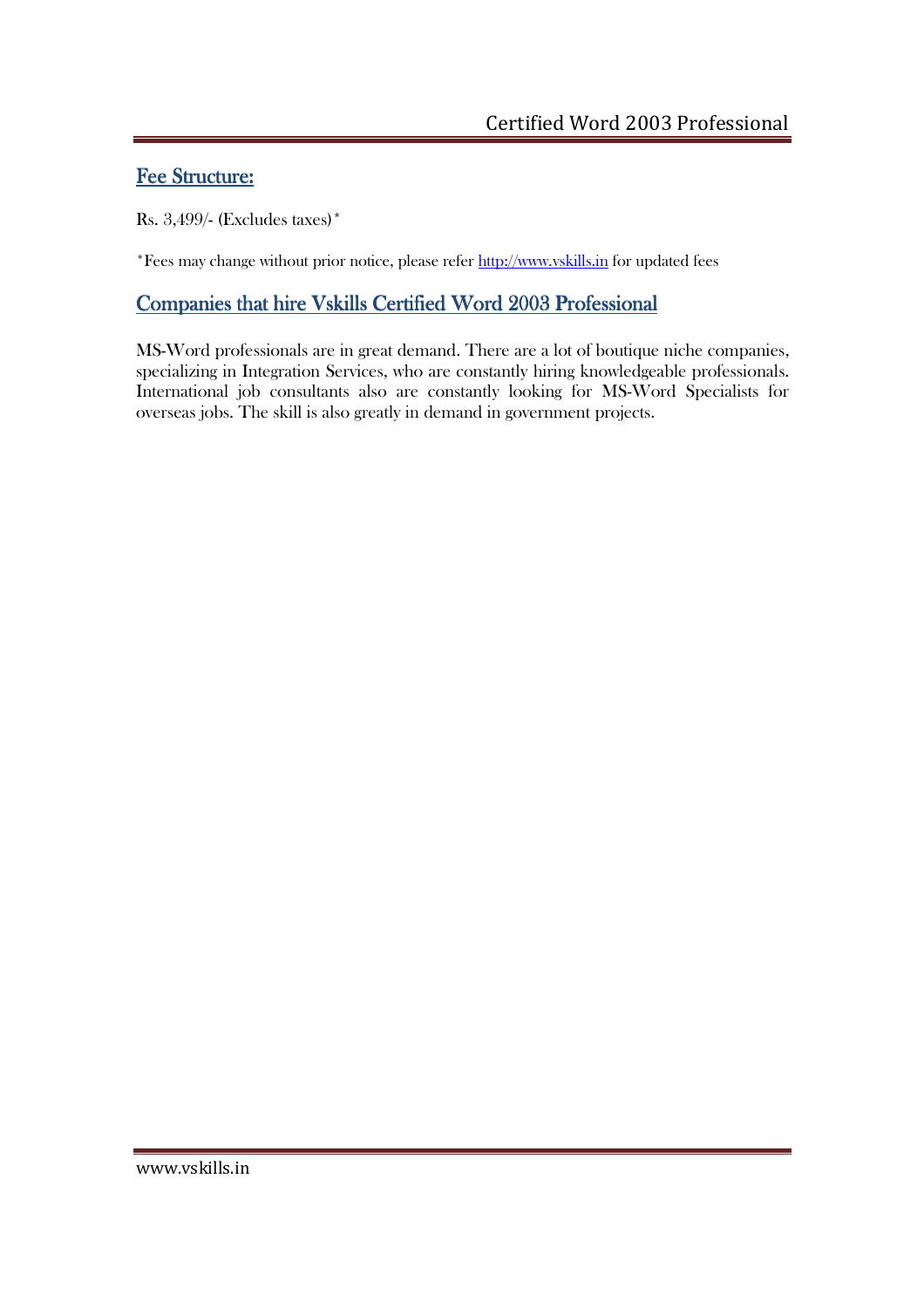## Fee Structure:

Rs. 3,499/- (Excludes taxes)\*

\*Fees may change without prior notice, please refer http://www.vskills.in for updated fees

# Companies that hire Vskills Certified Word 2003 Professional

MS-Word professionals are in great demand. There are a lot of boutique niche companies, specializing in Integration Services, who are constantly hiring knowledgeable professionals. International job consultants also are constantly looking for MS-Word Specialists for overseas jobs. The skill is also greatly in demand in government projects.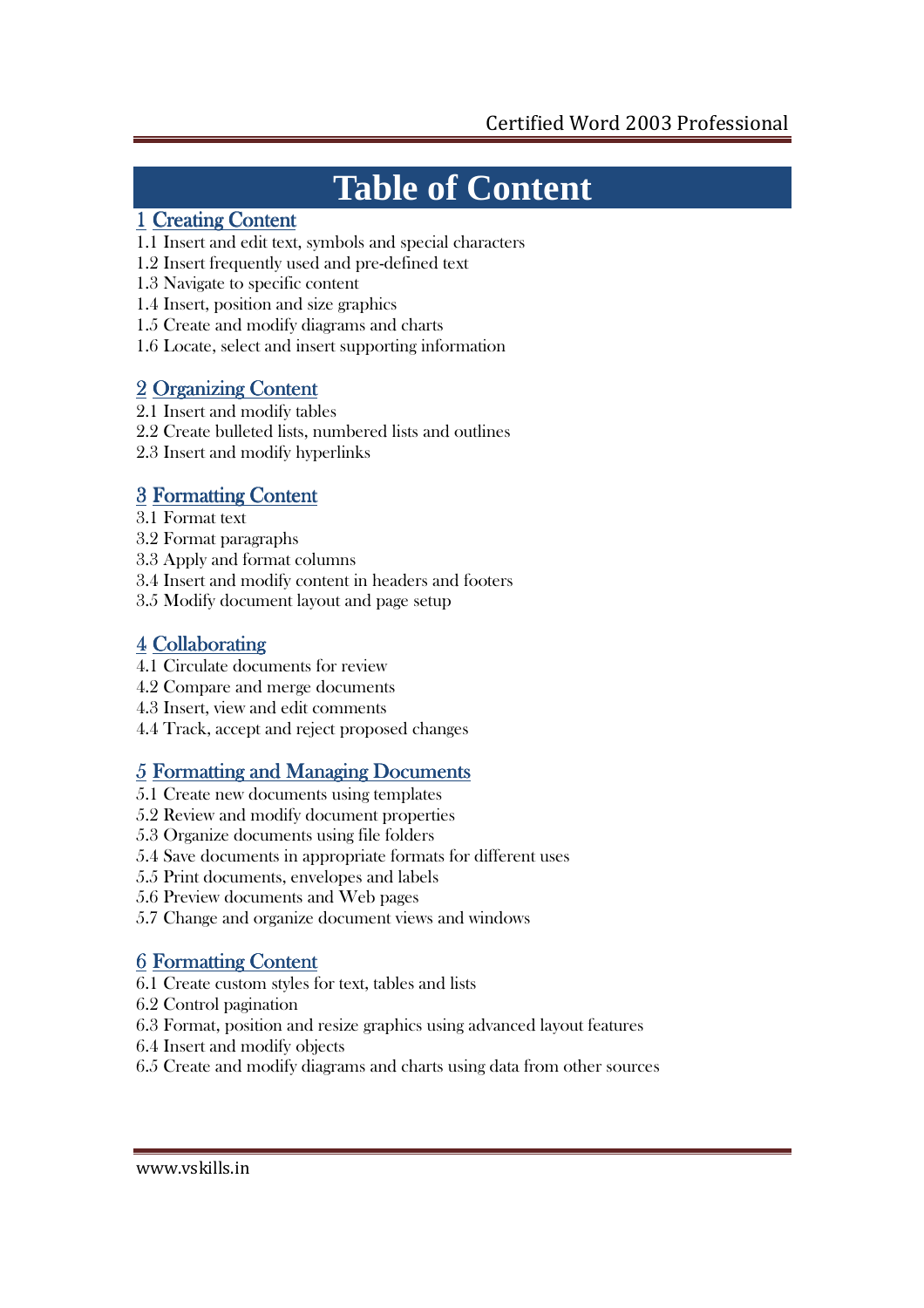# **Table of Content**

## 1 Creating Content

- 1.1 Insert and edit text, symbols and special characters
- 1.2 Insert frequently used and pre-defined text
- 1.3 Navigate to specific content
- 1.4 Insert, position and size graphics
- 1.5 Create and modify diagrams and charts
- 1.6 Locate, select and insert supporting information

# 2 Organizing Content

- 2.1 Insert and modify tables
- 2.2 Create bulleted lists, numbered lists and outlines
- 2.3 Insert and modify hyperlinks

# 3 Formatting Content

- 3.1 Format text
- 3.2 Format paragraphs
- 3.3 Apply and format columns
- 3.4 Insert and modify content in headers and footers
- 3.5 Modify document layout and page setup

# 4 Collaborating

- 4.1 Circulate documents for review
- 4.2 Compare and merge documents
- 4.3 Insert, view and edit comments
- 4.4 Track, accept and reject proposed changes

# 5 Formatting and Managing Documents

- 5.1 Create new documents using templates
- 5.2 Review and modify document properties
- 5.3 Organize documents using file folders
- 5.4 Save documents in appropriate formats for different uses
- 5.5 Print documents, envelopes and labels
- 5.6 Preview documents and Web pages
- 5.7 Change and organize document views and windows

# **6 Formatting Content**

- 6.1 Create custom styles for text, tables and lists
- 6.2 Control pagination
- 6.3 Format, position and resize graphics using advanced layout features
- 6.4 Insert and modify objects
- 6.5 Create and modify diagrams and charts using data from other sources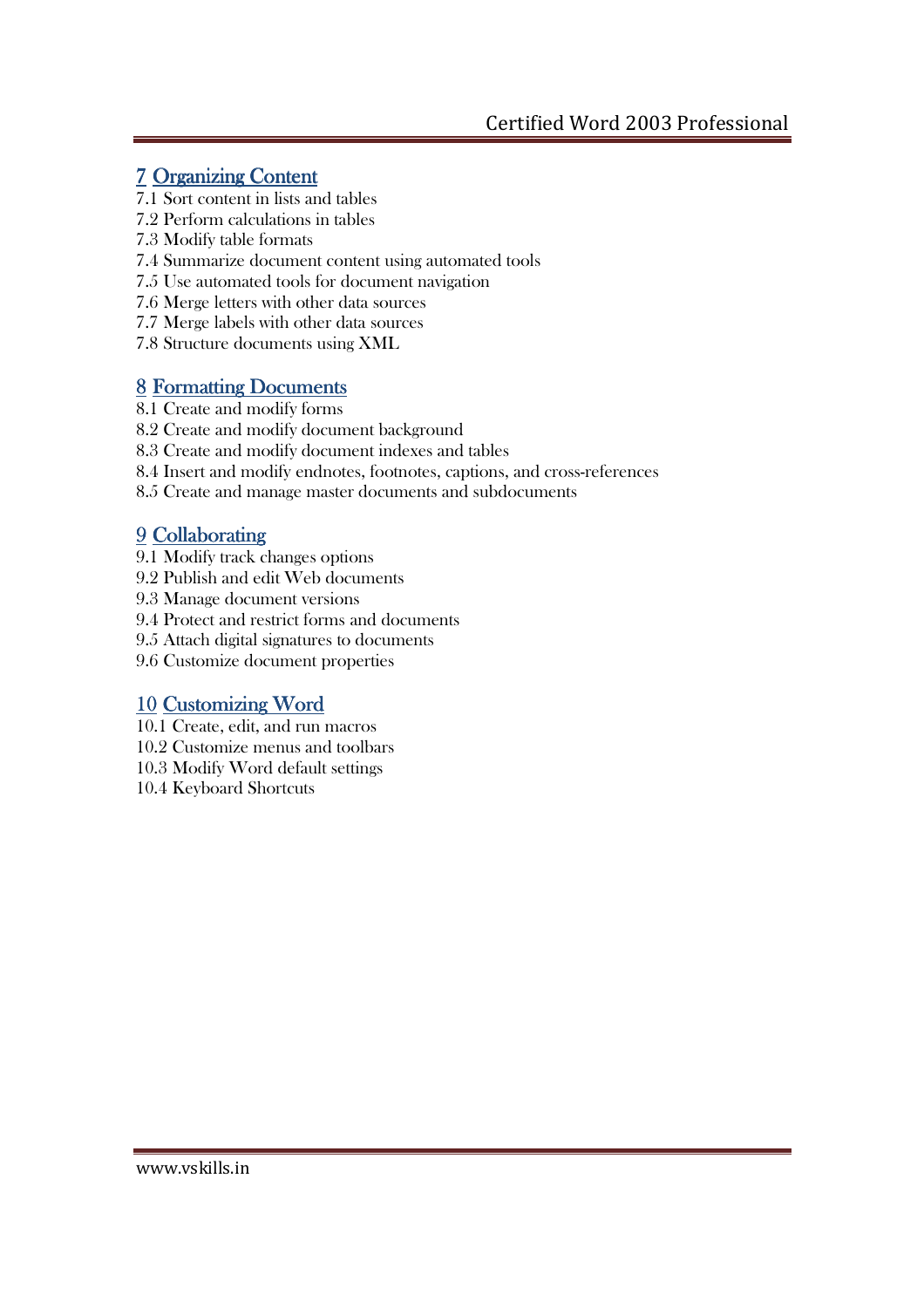## 7 Organizing Content

- 7.1 Sort content in lists and tables
- 7.2 Perform calculations in tables
- 7.3 Modify table formats
- 7.4 Summarize document content using automated tools
- 7.5 Use automated tools for document navigation
- 7.6 Merge letters with other data sources
- 7.7 Merge labels with other data sources
- 7.8 Structure documents using XML

## 8 Formatting Documents

- 8.1 Create and modify forms
- 8.2 Create and modify document background
- 8.3 Create and modify document indexes and tables
- 8.4 Insert and modify endnotes, footnotes, captions, and cross-references
- 8.5 Create and manage master documents and subdocuments

# 9 Collaborating

- 9.1 Modify track changes options
- 9.2 Publish and edit Web documents
- 9.3 Manage document versions
- 9.4 Protect and restrict forms and documents
- 9.5 Attach digital signatures to documents
- 9.6 Customize document properties

# 10 Customizing Word

- 10.1 Create, edit, and run macros
- 10.2 Customize menus and toolbars
- 10.3 Modify Word default settings
- 10.4 Keyboard Shortcuts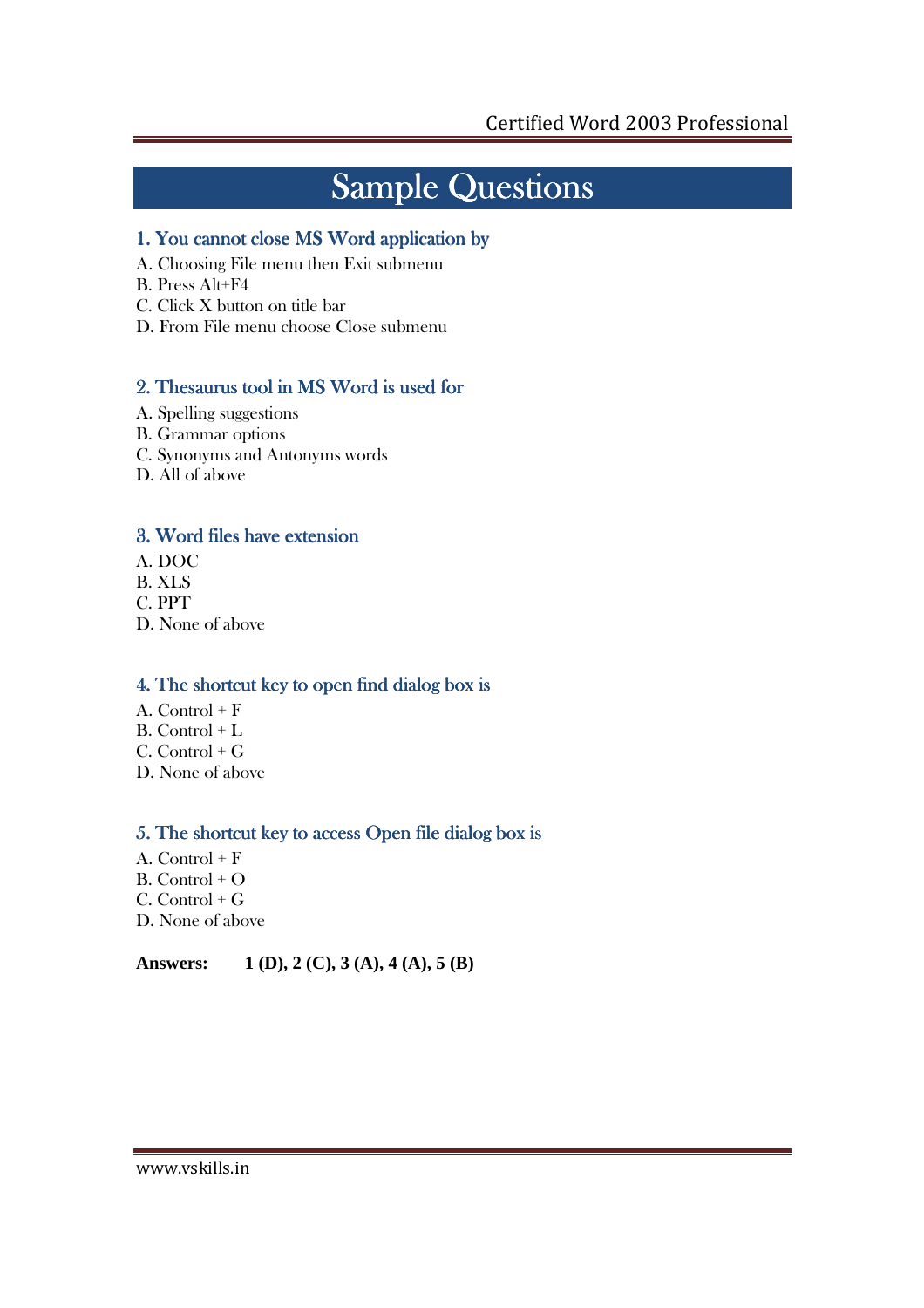# Sample Questions

#### 1. You cannot close MS Word application by by

- A. Choosing File menu then Exit submenu
- B. Press Alt+F4
- C. Click X button on title bar
- D. From File menu choose Close submenu

#### 2. Thesaurus tool in MS Word is used for

- A. Spelling suggestions
- B. Grammar options
- C. Synonyms and Antonyms words
- D. All of above

## 3. Word files have extension

- A. DOC
- B. XLS
- C. PPT
- D. None of above

#### 4. The shortcut key to open find dialog box is

- A. Control  $+ F$
- B. Control + L
- $C.$  Control +  $G$
- D. None of above

#### 5. The shortcut key to access Open file dialog box is

- A. Control + F B. Control + O C. Control + G
- D. None of above

#### **Answers: 1 (D), 2 (C), 3 (A), 4 (A), 5 (B)**